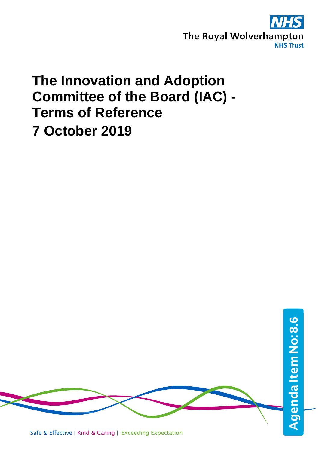

# **The Innovation and Adoption Committee of the Board (IAC) - Terms of Reference 7 October 2019**



Safe & Effective | Kind & Caring | Exceeding Expectation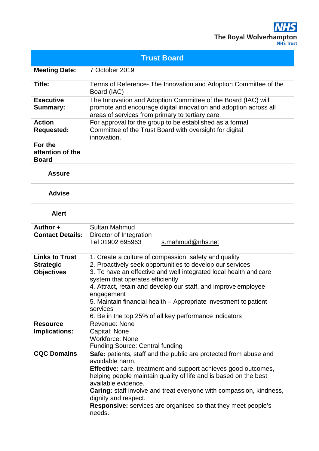| <b>Trust Board</b>                                             |                                                                                                                                                                                                                                                                                                                                                                                                                                                       |
|----------------------------------------------------------------|-------------------------------------------------------------------------------------------------------------------------------------------------------------------------------------------------------------------------------------------------------------------------------------------------------------------------------------------------------------------------------------------------------------------------------------------------------|
| <b>Meeting Date:</b>                                           | 7 October 2019                                                                                                                                                                                                                                                                                                                                                                                                                                        |
| Title:                                                         | Terms of Reference- The Innovation and Adoption Committee of the<br>Board (IAC)                                                                                                                                                                                                                                                                                                                                                                       |
| <b>Executive</b><br><b>Summary:</b>                            | The Innovation and Adoption Committee of the Board (IAC) will<br>promote and encourage digital innovation and adoption across all<br>areas of services from primary to tertiary care.                                                                                                                                                                                                                                                                 |
| <b>Action</b><br><b>Requested:</b>                             | For approval for the group to be established as a formal<br>Committee of the Trust Board with oversight for digital<br>innovation.                                                                                                                                                                                                                                                                                                                    |
| For the<br>attention of the<br><b>Board</b>                    |                                                                                                                                                                                                                                                                                                                                                                                                                                                       |
| <b>Assure</b>                                                  |                                                                                                                                                                                                                                                                                                                                                                                                                                                       |
| <b>Advise</b>                                                  |                                                                                                                                                                                                                                                                                                                                                                                                                                                       |
| <b>Alert</b>                                                   |                                                                                                                                                                                                                                                                                                                                                                                                                                                       |
| Author +<br><b>Contact Details:</b>                            | <b>Sultan Mahmud</b><br>Director of Integration<br>Tel 01902 695963<br>s.mahmud@nhs.net                                                                                                                                                                                                                                                                                                                                                               |
| <b>Links to Trust</b><br><b>Strategic</b><br><b>Objectives</b> | 1. Create a culture of compassion, safety and quality<br>2. Proactively seek opportunities to develop our services<br>3. To have an effective and well integrated local health and care<br>system that operates efficiently<br>4. Attract, retain and develop our staff, and improve employee<br>engagement<br>5. Maintain financial health – Appropriate investment to patient<br>services<br>6. Be in the top 25% of all key performance indicators |
| <b>Resource</b><br><b>Implications:</b>                        | <b>Revenue: None</b><br>Capital: None<br><b>Workforce: None</b><br><b>Funding Source: Central funding</b>                                                                                                                                                                                                                                                                                                                                             |
| <b>CQC Domains</b>                                             | Safe: patients, staff and the public are protected from abuse and<br>avoidable harm.<br><b>Effective:</b> care, treatment and support achieves good outcomes,<br>helping people maintain quality of life and is based on the best<br>available evidence.<br><b>Caring:</b> staff involve and treat everyone with compassion, kindness,<br>dignity and respect.<br><b>Responsive:</b> services are organised so that they meet people's<br>needs.      |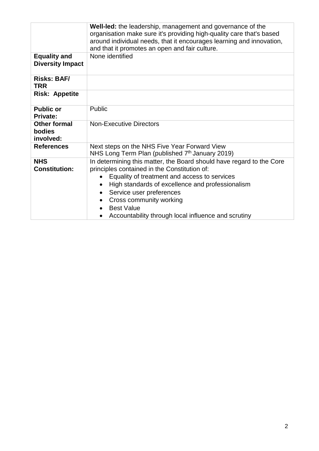|                                                   | Well-led: the leadership, management and governance of the<br>organisation make sure it's providing high-quality care that's based<br>around individual needs, that it encourages learning and innovation,<br>and that it promotes an open and fair culture.                                                                                                |
|---------------------------------------------------|-------------------------------------------------------------------------------------------------------------------------------------------------------------------------------------------------------------------------------------------------------------------------------------------------------------------------------------------------------------|
| <b>Equality and</b><br><b>Diversity Impact</b>    | None identified                                                                                                                                                                                                                                                                                                                                             |
| <b>Risks: BAF/</b><br><b>TRR</b>                  |                                                                                                                                                                                                                                                                                                                                                             |
| <b>Risk: Appetite</b>                             |                                                                                                                                                                                                                                                                                                                                                             |
| <b>Public or</b><br><b>Private:</b>               | Public                                                                                                                                                                                                                                                                                                                                                      |
| <b>Other formal</b><br><b>bodies</b><br>involved: | <b>Non-Executive Directors</b>                                                                                                                                                                                                                                                                                                                              |
| <b>References</b>                                 | Next steps on the NHS Five Year Forward View<br>NHS Long Term Plan (published 7 <sup>th</sup> January 2019)                                                                                                                                                                                                                                                 |
| <b>NHS</b><br><b>Constitution:</b>                | In determining this matter, the Board should have regard to the Core<br>principles contained in the Constitution of:<br>Equality of treatment and access to services<br>High standards of excellence and professionalism<br>Service user preferences<br>Cross community working<br><b>Best Value</b><br>Accountability through local influence and scrutiny |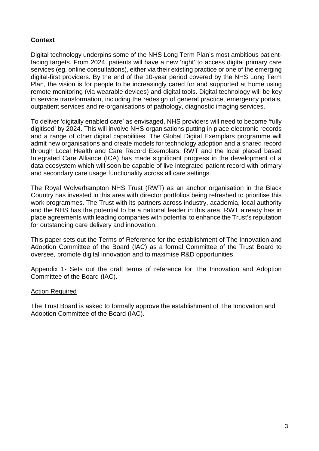## **Context**

Digital technology underpins some of the NHS Long Term Plan's most ambitious patientfacing targets. From 2024, patients will have a new 'right' to access digital primary care services (eg, online consultations), either via their existing practice or one of the emerging digital-first providers. By the end of the 10-year period covered by the NHS Long Term Plan, the vision is for people to be increasingly cared for and supported at home using remote monitoring (via wearable devices) and digital tools. Digital technology will be key in service transformation, including the redesign of general practice, emergency portals, outpatient services and re-organisations of pathology, diagnostic imaging services.

To deliver 'digitally enabled care' as envisaged, NHS providers will need to become 'fully digitised' by 2024. This will involve NHS organisations putting in place electronic records and a range of other digital capabilities. The Global Digital Exemplars programme will admit new organisations and create models for technology adoption and a shared record through Local Health and Care Record Exemplars. RWT and the local placed based Integrated Care Alliance (ICA) has made significant progress in the development of a data ecosystem which will soon be capable of live integrated patient record with primary and secondary care usage functionality across all care settings.

The Royal Wolverhampton NHS Trust (RWT) as an anchor organisation in the Black Country has invested in this area with director portfolios being refreshed to prioritise this work programmes. The Trust with its partners across industry, academia, local authority and the NHS has the potential to be a national leader in this area. RWT already has in place agreements with leading companies with potential to enhance the Trust's reputation for outstanding care delivery and innovation.

This paper sets out the Terms of Reference for the establishment of The Innovation and Adoption Committee of the Board (IAC) as a formal Committee of the Trust Board to oversee, promote digital innovation and to maximise R&D opportunities.

Appendix 1- Sets out the draft terms of reference for The Innovation and Adoption Committee of the Board (IAC).

#### Action Required

The Trust Board is asked to formally approve the establishment of The Innovation and Adoption Committee of the Board (IAC).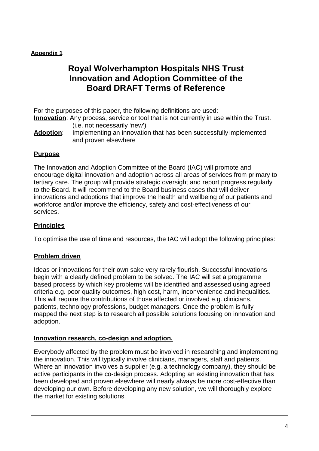## **Appendix 1**

## **Royal Wolverhampton Hospitals NHS Trust Innovation and Adoption Committee of the Board DRAFT Terms of Reference**

For the purposes of this paper, the following definitions are used: **Innovation**: Any process, service or tool that is not currently in use within the Trust.

(i.e. not necessarily 'new')

**Adoption**: Implementing an innovation that has been successfully implemented and proven elsewhere

### **Purpose**

The Innovation and Adoption Committee of the Board (IAC) will promote and encourage digital innovation and adoption across all areas of services from primary to tertiary care. The group will provide strategic oversight and report progress regularly to the Board. It will recommend to the Board business cases that will deliver innovations and adoptions that improve the health and wellbeing of our patients and workforce and/or improve the efficiency, safety and cost-effectiveness of our services.

## **Principles**

To optimise the use of time and resources, the IAC will adopt the following principles:

## **Problem driven**

Ideas or innovations for their own sake very rarely flourish. Successful innovations begin with a clearly defined problem to be solved. The IAC will set a programme based process by which key problems will be identified and assessed using agreed criteria e.g. poor quality outcomes, high cost, harm, inconvenience and inequalities. This will require the contributions of those affected or involved e.g. clinicians, patients, technology professions, budget managers. Once the problem is fully mapped the next step is to research all possible solutions focusing on innovation and adoption.

## **Innovation research, co-design and adoption.**

Everybody affected by the problem must be involved in researching and implementing the innovation. This will typically involve clinicians, managers, staff and patients. Where an innovation involves a supplier (e.g. a technology company), they should be active participants in the co-design process. Adopting an existing innovation that has been developed and proven elsewhere will nearly always be more cost-effective than developing our own. Before developing any new solution, we will thoroughly explore the market for existing solutions.